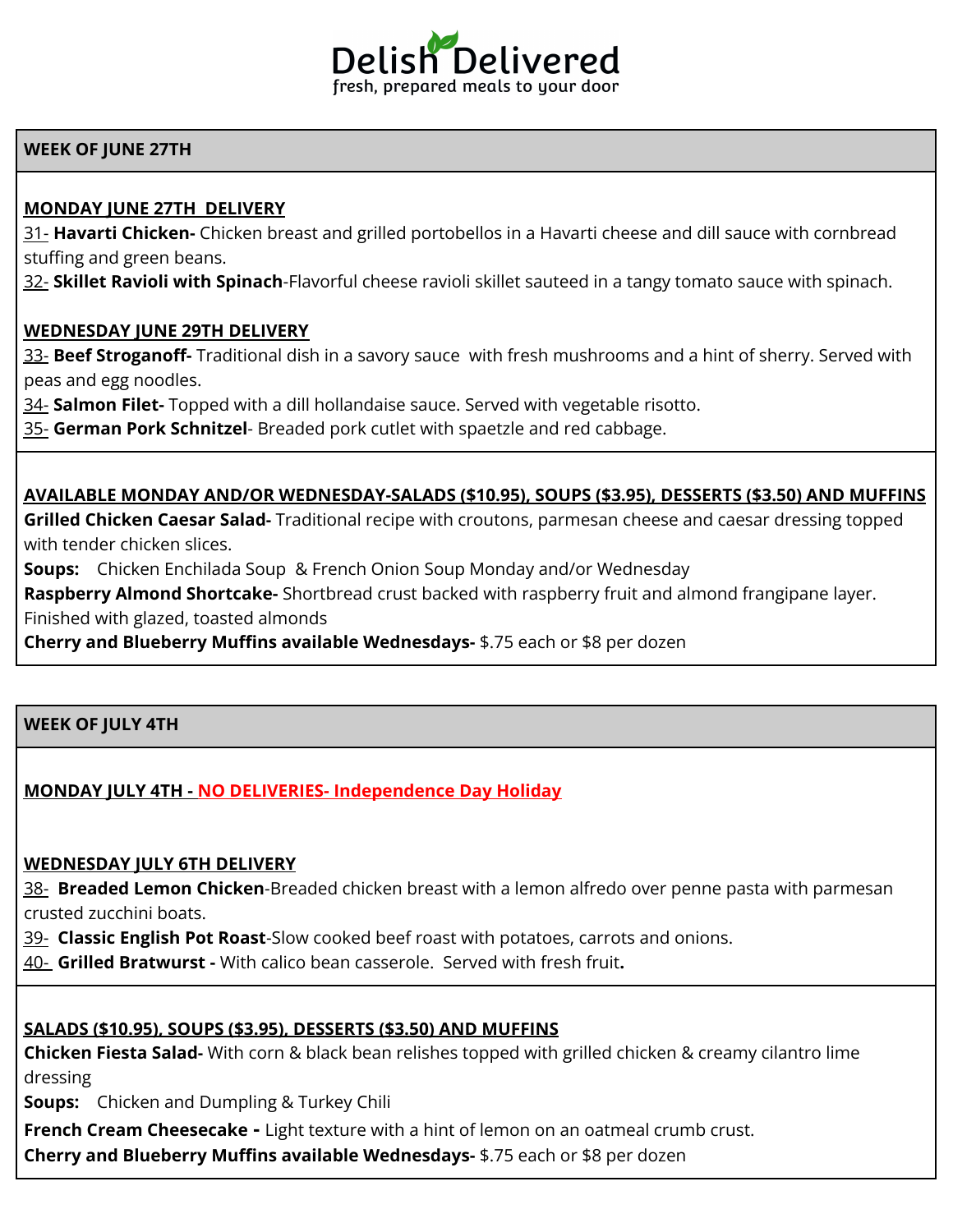

#### **WEEK OF JUNE 27TH**

## **MONDAY JUNE 27TH DELIVERY**

31- **Havarti Chicken-** Chicken breast and grilled portobellos in a Havarti cheese and dill sauce with cornbread stuffing and green beans.

32- **Skillet Ravioli with Spinach**-Flavorful cheese ravioli skillet sauteed in a tangy tomato sauce with spinach.

#### **WEDNESDAY JUNE 29TH DELIVERY**

33- **Beef Stroganoff-** Traditional dish in a savory sauce with fresh mushrooms and a hint of sherry. Served with peas and egg noodles.

34- **Salmon Filet-** Topped with a dill hollandaise sauce. Served with vegetable risotto.

35- **German Pork Schnitzel**- Breaded pork cutlet with spaetzle and red cabbage.

#### **AVAILABLE MONDAY AND/OR WEDNESDAY-SALADS (\$10.95), SOUPS (\$3.95), DESSERTS (\$3.50) AND MUFFINS**

**Grilled Chicken Caesar Salad-** Traditional recipe with croutons, parmesan cheese and caesar dressing topped with tender chicken slices.

**Soups:** Chicken Enchilada Soup & French Onion Soup Monday and/or Wednesday

**Raspberry Almond Shortcake-** Shortbread crust backed with raspberry fruit and almond frangipane layer. Finished with glazed, toasted almonds

**Cherry and Blueberry Muffins available Wednesdays-** \$.75 each or \$8 per dozen

## **WEEK OF JULY 4TH**

# **MONDAY JULY 4TH - NO DELIVERIES- Independence Day Holiday**

# **WEDNESDAY JULY 6TH DELIVERY**

38- **Breaded Lemon Chicken**-Breaded chicken breast with a lemon alfredo over penne pasta with parmesan crusted zucchini boats.

39- **Classic English Pot Roast**-Slow cooked beef roast with potatoes, carrots and onions.

40- **Grilled Bratwurst -** With calico bean casserole. Served with fresh fruit**.**

# **SALADS (\$10.95), SOUPS (\$3.95), DESSERTS (\$3.50) AND MUFFINS**

**Chicken Fiesta Salad-** With corn & black bean relishes topped with grilled chicken & creamy cilantro lime dressing

**Soups:** Chicken and Dumpling & Turkey Chili

**French Cream Cheesecake -** Light texture with a hint of lemon on an oatmeal crumb crust.

**Cherry and Blueberry Muffins available Wednesdays-** \$.75 each or \$8 per dozen